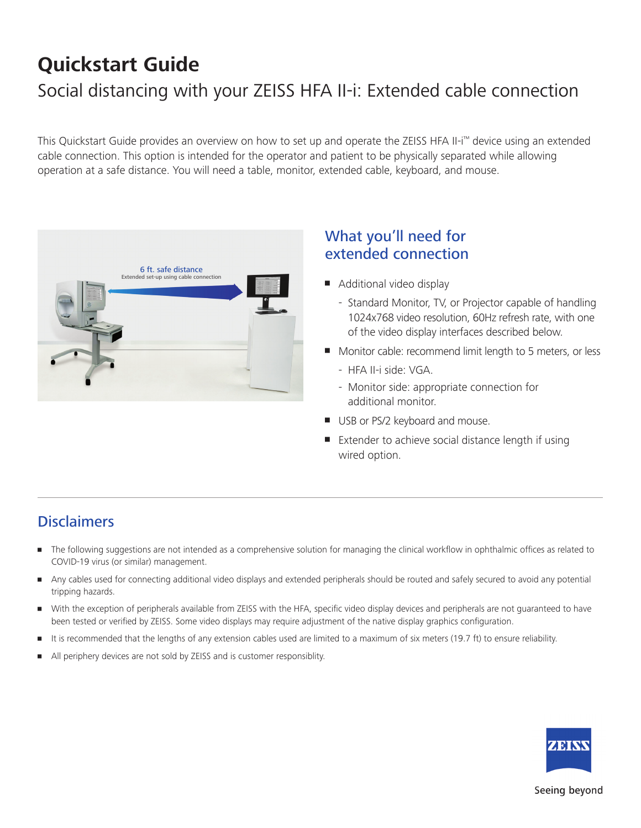# **Quickstart Guide**  Social distancing with your ZEISS HFA II-i: Extended cable connection

This Quickstart Guide provides an overview on how to set up and operate the ZEISS HFA II-i™ device using an extended cable connection. This option is intended for the operator and patient to be physically separated while allowing operation at a safe distance. You will need a table, monitor, extended cable, keyboard, and mouse.



## What you'll need for extended connection

- Additional video display
	- Standard Monitor, TV, or Projector capable of handling 1024x768 video resolution, 60Hz refresh rate, with one of the video display interfaces described below.
- Monitor cable: recommend limit length to 5 meters, or less
	- HFA II-i side: VGA.
	- Monitor side: appropriate connection for additional monitor.
- USB or PS/2 keyboard and mouse.
- Extender to achieve social distance length if using wired option.

## **Disclaimers**

- • The following suggestions are not intended as a comprehensive solution for managing the clinical workflow in ophthalmic offices as related to COVID-19 virus (or similar) management.
- Any cables used for connecting additional video displays and extended peripherals should be routed and safely secured to avoid any potential tripping hazards.
- • With the exception of peripherals available from ZEISS with the HFA, specific video display devices and peripherals are not guaranteed to have been tested or verified by ZEISS. Some video displays may require adjustment of the native display graphics configuration.
- It is recommended that the lengths of any extension cables used are limited to a maximum of six meters (19.7 ft) to ensure reliability.
- All periphery devices are not sold by ZEISS and is customer responsiblity.



#### Seeing beyond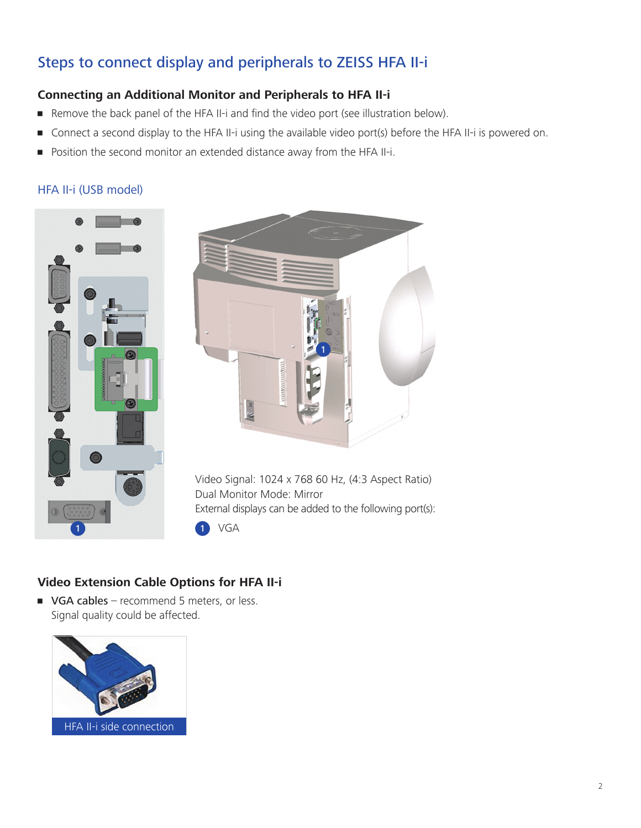# Steps to connect display and peripherals to ZEISS HFA II-i

## **Connecting an Additional Monitor and Peripherals to HFA II-i**

- **•** Remove the back panel of the HFA II-i and find the video port (see illustration below).
- Connect a second display to the HFA II-i using the available video port(s) before the HFA II-i is powered on.
- **Position the second monitor an extended distance away from the HFA II-i.**

#### HFA II-i (USB model)





Video Signal: 1024 x 768 60 Hz, (4:3 Aspect Ratio) Dual Monitor Mode: Mirror External displays can be added to the following port(s):

#### 1 VGA

## **Video Extension Cable Options for HFA II-i**

• VGA cables – recommend 5 meters, or less. Signal quality could be affected.